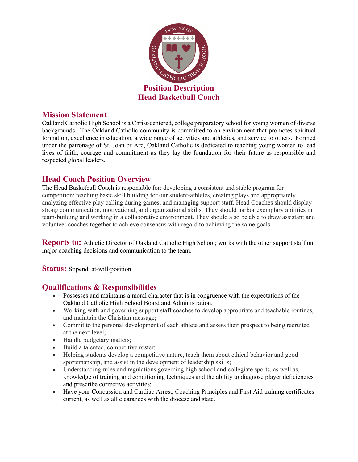

#### **Mission Statement**

Oakland Catholic High School is a Christ-centered, college preparatory school for young women of diverse backgrounds. The Oakland Catholic community is committed to an environment that promotes spiritual formation, excellence in education, a wide range of activities and athletics, and service to others. Formed under the patronage of St. Joan of Arc, Oakland Catholic is dedicated to teaching young women to lead lives of faith, courage and commitment as they lay the foundation for their future as responsible and respected global leaders.

# **Head Coach Position Overview**

The Head Basketball Coach is responsible for: developing a consistent and stable program for competition; teaching basic skill building for our student-athletes, creating plays and appropriately analyzing effective play calling during games, and managing support staff. Head Coaches should display strong communication, motivational, and organizational skills. They should harbor exemplary abilities in team-building and working in a collaborative environment. They should also be able to draw assistant and volunteer coaches together to achieve consensus with regard to achieving the same goals.

**Reports to:** Athletic Director of Oakland Catholic High School; works with the other support staff on major coaching decisions and communication to the team.

**Status:** Stipend, at-will-position

### **Qualifications & Responsibilities**

- Possesses and maintains a moral character that is in congruence with the expectations of the Oakland Catholic High School Board and Administration.
- Working with and governing support staff coaches to develop appropriate and teachable routines, and maintain the Christian message;
- Commit to the personal development of each athlete and assess their prospect to being recruited at the next level;
- Handle budgetary matters;
- Build a talented, competitive roster;
- Helping students develop a competitive nature, teach them about ethical behavior and good sportsmanship, and assist in the development of leadership skills;
- Understanding rules and regulations governing high school and collegiate sports, as well as, knowledge of training and conditioning techniques and the ability to diagnose player deficiencies and prescribe corrective activities;
- Have your Concussion and Cardiac Arrest, Coaching Principles and First Aid training certificates current, as well as all clearances with the diocese and state.